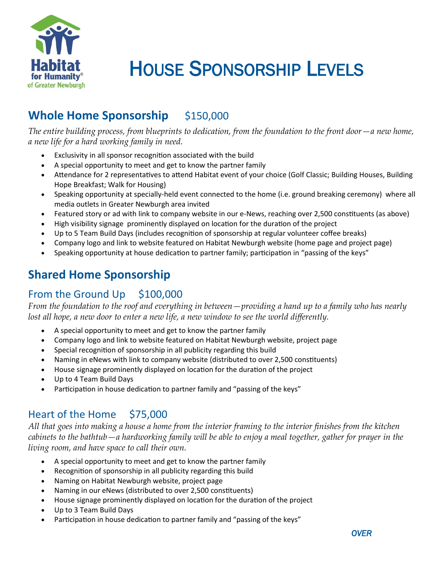

# HOUSE SPONSORSHIP LEVELS

## **Whole Home Sponsorship** \$150,000

*The entire building process, from blueprints to dedication, from the foundation to the front door—a new home, a new life for a hard working family in need.*

- Exclusivity in all sponsor recognition associated with the build
- A special opportunity to meet and get to know the partner family
- Attendance for 2 representatives to attend Habitat event of your choice (Golf Classic; Building Houses, Building Hope Breakfast; Walk for Housing)
- Speaking opportunity at specially-held event connected to the home (i.e. ground breaking ceremony) where all media outlets in Greater Newburgh area invited
- Featured story or ad with link to company website in our e-News, reaching over 2,500 constituents (as above)
- High visibility signage prominently displayed on location for the duration of the project
- Up to 5 Team Build Days (includes recognition of sponsorship at regular volunteer coffee breaks)
- Company logo and link to website featured on Habitat Newburgh website (home page and project page)
- Speaking opportunity at house dedication to partner family; participation in "passing of the keys"

## **Shared Home Sponsorship**

#### From the Ground Up \$100,000

*From the foundation to the roof and everything in between—providing a hand up to a family who has nearly lost all hope, a new door to enter a new life, a new window to see the world differently.*

- A special opportunity to meet and get to know the partner family
- Company logo and link to website featured on Habitat Newburgh website, project page
- Special recognition of sponsorship in all publicity regarding this build
- Naming in eNews with link to company website (distributed to over 2,500 constituents)
- House signage prominently displayed on location for the duration of the project
- Up to 4 Team Build Days
- Participation in house dedication to partner family and "passing of the keys"

#### Heart of the Home \$75,000

*All that goes into making a house a home from the interior framing to the interior finishes from the kitchen cabinets to the bathtub—a hardworking family will be able to enjoy a meal together, gather for prayer in the living room, and have space to call their own.*

- A special opportunity to meet and get to know the partner family
- Recognition of sponsorship in all publicity regarding this build
- Naming on Habitat Newburgh website, project page
- Naming in our eNews (distributed to over 2,500 constituents)
- House signage prominently displayed on location for the duration of the project
- Up to 3 Team Build Days
- Participation in house dedication to partner family and "passing of the keys"